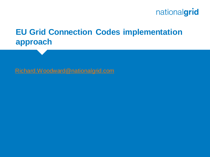

### **EU Grid Connection Codes implementation approach**

[Richard.Woodward@nationalgrid.com](mailto:Richard.Woodward@nationalgrid.com)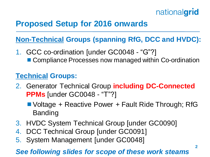## **Proposed Setup for 2016 onwards**

#### **Non-Technical Groups (spanning RfG, DCC and HVDC):**

1. GCC co-ordination [under GC0048 - "G"?] ■ Compliance Processes now managed within Co-ordination

#### **Technical Groups:**

- 2. Generator Technical Group **including DC-Connected PPMs** [under GC0048 - "T"?]
	- Voltage + Reactive Power + Fault Ride Through; RfG Banding
- 3. HVDC System Technical Group [under GC0090]
- 4. DCC Technical Group [under GC0091]
- 5. System Management [under GC0048]

#### *See following slides for scope of these work steams*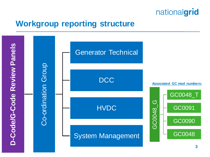

### **Workgroup reporting structure**

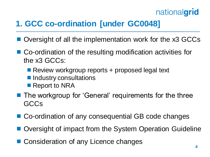## **1. GCC co-ordination [under GC0048]**

- Oversight of all the implementation work for the x3 GCCs
- Co-ordination of the resulting modification activities for the x3 GCCs:
	- Review workgroup reports + proposed legal text
	- **Industry consultations**
	- Report to NRA
- **The workgroup for 'General' requirements for the three GCCs**
- Co-ordination of any consequential GB code changes
- Oversight of impact from the System Operation Guideline
- Consideration of any Licence changes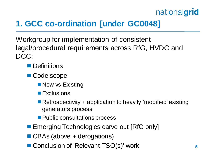## **1. GCC co-ordination [under GC0048]**

Workgroup for implementation of consistent legal/procedural requirements across RfG, HVDC and DCC:

- **Definitions**
- Code scope:
	- **New vs Existing**
	- **Exclusions**
	- Retrospectivity + application to heavily 'modified' existing generators process
	- **Public consultations process**
- **Example Technologies carve out [RfG only]**
- CBAs (above + derogations)
- Conclusion of 'Relevant TSO(s)' work 5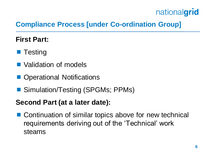#### **Compliance Process [under Co-ordination Group]**

#### **First Part:**

- $\blacksquare$  Testing
- **Nalidation of models**
- **Operational Notifications**
- Simulation/Testing (SPGMs; PPMs)

#### **Second Part (at a later date):**

■ Continuation of similar topics above for new technical requirements deriving out of the 'Technical' work steams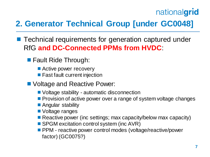## **2. Generator Technical Group [under GC0048]**

- **Technical requirements for generation captured under** RfG **and DC-Connected PPMs from HVDC**:
	- **Fault Ride Through:** 
		- Active power recovery
		- **Fast fault current injection**
	- Voltage and Reactive Power:
		- Voltage stability automatic disconnection
		- **Provision of active power over a range of system voltage changes**
		- **Angular stability**
		- **Noltage ranges**
		- Reactive power (inc settings; max capacity/below max capacity)
		- SPGM excitation control system (inc AVR)
		- **PPM** reactive power control modes (voltage/reactive/power factor) (GC0075?)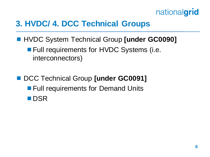

### **3. HVDC/ 4. DCC Technical Groups**

- HVDC System Technical Group **[under GC0090] Full requirements for HVDC Systems (i.e.** interconnectors)
- **DCC Technical Group [under GC0091] Full requirements for Demand Units DSR**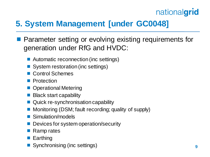## **5. System Management [under GC0048]**

- **Parameter setting or evolving existing requirements for** generation under RfG and HVDC:
	- Automatic reconnection (inc settings)
	- System restoration (inc settings)
	- Control Schemes
	- **Protection**
	- **Operational Metering**
	- Black start capability
	- Quick re-synchronisation capability
	- Monitoring (DSM; fault recording; quality of supply)
	- Simulation/models
	- Devices for system operation/security
	- Ramp rates
	- **Earthing**
	- **Synchronising (inc settings) Properties and Synchronising (inc settings) 9**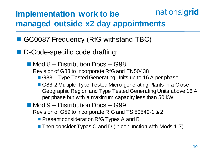#### nationalgrid **Implementation work to be managed outside x2 day appointments**

- GC0087 Frequency (RfG withstand TBC)
- D-Code-specific code drafting:
	- Mod 8 Distribution Docs G98 Revision of G83 to incorporate RfG and EN50438
		- G83-1 Type Tested Generating Units up to 16 A per phase
		- G83-2 Multiple Type Tested Micro-generating Plants in a Close Geographic Region and Type Tested Generating Units above 16 A per phase but with a maximum capacity less than 50 kW
	- Mod 9 Distribution Docs G99 Revision of G59 to incorporate RfG and TS 50549-1 & 2
		- **Present consideration RfG Types A and B**
		- Then consider Types C and D (in conjunction with Mods 1-7)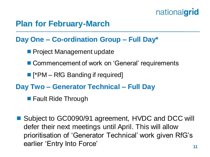### **Plan for February-March**

#### **Day One – Co-ordination Group – Full Day\***

- **Project Management update**
- Commencement of work on 'General' requirements
- [\*PM RfG Banding if required]

#### **Day Two – Generator Technical – Full Day**

- **Fault Ride Through**
- Subject to GC0090/91 agreement, HVDC and DCC will defer their next meetings until April. This will allow prioritisation of 'Generator Technical' work given RfG's earlier 'Entry Into Force' **11**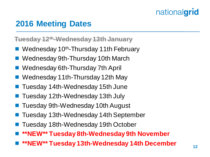### **2016 Meeting Dates**

**Tuesday 12th-Wednesday 13th January**

- Wednesday 10<sup>th</sup>-Thursday 11th February
- Wednesday 9th-Thursday 10th March
- Wednesday 6th-Thursday 7th April
- Wednesday 11th-Thursday 12th May
- Tuesday 14th-Wednesday 15th June
- Tuesday 12th-Wednesday 13th July
- Tuesday 9th-Wednesday 10th August
- Tuesday 13th-Wednesday 14th September
- Tuesday 18th-Wednesday 19th October
- **\*\*NEW\*\* Tuesday 8th-Wednesday 9th November**
- **\*\*NEW\*\* Tuesday 13th-Wednesday 14th December <sup>12</sup>**